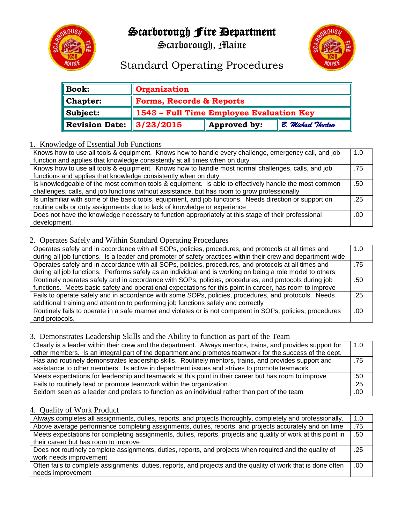## Scarborough Fire Department



Scarborough, Maine



## Standard Operating Procedures

| $\parallel$ Book:    | <b>Organization</b>                                         |
|----------------------|-------------------------------------------------------------|
| $\ $ Chapter:        | Forms, Records & Reports                                    |
| $\parallel$ Subject: | 1543 - Full Time Employee Evaluation Key                    |
| Revision Date:       | $\parallel$ 3/23/2015<br>Approved by:<br>B. Michael Thurlow |

#### 1. Knowledge of Essential Job Functions

| Knows how to use all tools & equipment. Knows how to handle every challenge, emergency call, and job    | 1.0 |
|---------------------------------------------------------------------------------------------------------|-----|
| function and applies that knowledge consistently at all times when on duty.                             |     |
| Knows how to use all tools & equipment. Knows how to handle most normal challenges, calls, and job      | .75 |
| functions and applies that knowledge consistently when on duty.                                         |     |
| Is knowledgeable of the most common tools & equipment. Is able to effectively handle the most common    | .50 |
| challenges, calls, and job functions without assistance, but has room to grow professionally            |     |
| Is unfamiliar with some of the basic tools, equipment, and job functions. Needs direction or support on | .25 |
| routine calls or duty assignments due to lack of knowledge or experience                                |     |
| Does not have the knowledge necessary to function appropriately at this stage of their professional     |     |
| development.                                                                                            |     |

#### 2. Operates Safely and Within Standard Operating Procedures

| Operates safely and in accordance with all SOPs, policies, procedures, and protocols at all times and        | 1.0 |
|--------------------------------------------------------------------------------------------------------------|-----|
| during all job functions. Is a leader and promoter of safety practices within their crew and department-wide |     |
| Operates safely and in accordance with all SOPs, policies, procedures, and protocols at all times and        | .75 |
| during all job functions. Performs safely as an individual and is working on being a role model to others    |     |
| Routinely operates safely and in accordance with SOPs, policies, procedures, and protocols during job        | .50 |
| functions. Meets basic safety and operational expectations for this point in career, has room to improve     |     |
| Fails to operate safely and in accordance with some SOPs, policies, procedures, and protocols. Needs         |     |
| additional training and attention to performing job functions safely and correctly                           |     |
| Routinely fails to operate in a safe manner and violates or is not competent in SOPs, policies, procedures   |     |
| and protocols.                                                                                               |     |

#### 3. Demonstrates Leadership Skills and the Ability to function as part of the Team

| Clearly is a leader within their crew and the department. Always mentors, trains, and provides support for | 1.0 |
|------------------------------------------------------------------------------------------------------------|-----|
| other members. Is an integral part of the department and promotes teamwork for the success of the dept.    |     |
| Has and routinely demonstrates leadership skills. Routinely mentors, trains, and provides support and      | .75 |
| assistance to other members. Is active in department issues and strives to promote teamwork                |     |
| Meets expectations for leadership and teamwork at this point in their career but has room to improve       | .50 |
| Fails to routinely lead or promote teamwork within the organization.                                       |     |
| Seldom seen as a leader and prefers to function as an individual rather than part of the team              |     |

#### 4. Quality of Work Product

| Always completes all assignments, duties, reports, and projects thoroughly, completely and professionally.    | 1.0  |
|---------------------------------------------------------------------------------------------------------------|------|
| Above average performance completing assignments, duties, reports, and projects accurately and on time        |      |
| Meets expectations for completing assignments, duties, reports, projects and quality of work at this point in |      |
| their career but has room to improve                                                                          |      |
| Does not routinely complete assignments, duties, reports, and projects when required and the quality of       |      |
| work needs improvement                                                                                        |      |
| Often fails to complete assignments, duties, reports, and projects and the quality of work that is done often | .00. |
| needs improvement                                                                                             |      |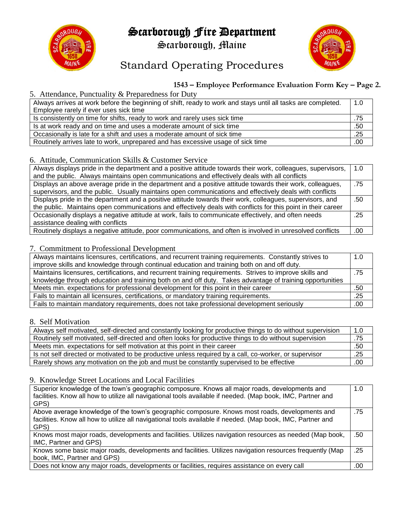## Scarborough Fire Department



Scarborough, Maine



## Standard Operating Procedures

### **1543 – Employee Performance Evaluation Form Key – Page 2.**

#### 5. Attendance, Punctuality & Preparedness for Duty

| Always arrives at work before the beginning of shift, ready to work and stays until all tasks are completed. | 1.0 |
|--------------------------------------------------------------------------------------------------------------|-----|
| Employee rarely if ever uses sick time                                                                       |     |
| Is consistently on time for shifts, ready to work and rarely uses sick time                                  | .75 |
| Is at work ready and on time and uses a moderate amount of sick time                                         |     |
| Occasionally is late for a shift and uses a moderate amount of sick time                                     |     |
| Routinely arrives late to work, unprepared and has excessive usage of sick time                              |     |

#### 6. Attitude, Communication Skills & Customer Service

| Always displays pride in the department and a positive attitude towards their work, colleagues, supervisors,  | 1.0 |
|---------------------------------------------------------------------------------------------------------------|-----|
| and the public. Always maintains open communications and effectively deals with all conflicts                 |     |
| Displays an above average pride in the department and a positive attitude towards their work, colleagues,     | .75 |
| supervisors, and the public. Usually maintains open communications and effectively deals with conflicts       |     |
| Displays pride in the department and a positive attitude towards their work, colleagues, supervisors, and     | .50 |
| the public. Maintains open communications and effectively deals with conflicts for this point in their career |     |
| Occasionally displays a negative attitude at work, fails to communicate effectively, and often needs          |     |
| assistance dealing with conflicts                                                                             |     |
| Routinely displays a negative attitude, poor communications, and often is involved in unresolved conflicts    | .00 |

#### 7. Commitment to Professional Development

| Always maintains licensures, certifications, and recurrent training requirements. Constantly strives to  | 1.0 |
|----------------------------------------------------------------------------------------------------------|-----|
| improve skills and knowledge through continual education and training both on and off duty.              |     |
| Maintains licensures, certifications, and recurrent training requirements. Strives to improve skills and | .75 |
| knowledge through education and training both on and off duty. Takes advantage of training opportunities |     |
| Meets min. expectations for professional development for this point in their career                      | .50 |
| Fails to maintain all licensures, certifications, or mandatory training requirements.                    | .25 |
| Fails to maintain mandatory requirements, does not take professional development seriously               |     |

#### 8. Self Motivation

| Always self motivated, self-directed and constantly looking for productive things to do without supervision | 1.0 |
|-------------------------------------------------------------------------------------------------------------|-----|
| Routinely self motivated, self-directed and often looks for productive things to do without supervision     | .75 |
| Meets min. expectations for self motivation at this point in their career                                   | .50 |
| Is not self directed or motivated to be productive unless required by a call, co-worker, or supervisor      |     |
| Rarely shows any motivation on the job and must be constantly supervised to be effective                    |     |

#### 9. Knowledge Street Locations and Local Facilities

| Superior knowledge of the town's geographic composure. Knows all major roads, developments and<br>facilities. Know all how to utilize all navigational tools available if needed. (Map book, IMC, Partner and<br>GPS) | 1.0 |
|-----------------------------------------------------------------------------------------------------------------------------------------------------------------------------------------------------------------------|-----|
| Above average knowledge of the town's geographic composure. Knows most roads, developments and<br>facilities. Know all how to utilize all navigational tools available if needed. (Map book, IMC, Partner and         | .75 |
| GPS)                                                                                                                                                                                                                  |     |
| Knows most major roads, developments and facilities. Utilizes navigation resources as needed (Map book,                                                                                                               | .50 |
| IMC, Partner and GPS)                                                                                                                                                                                                 |     |
| Knows some basic major roads, developments and facilities. Utilizes navigation resources frequently (Map                                                                                                              | .25 |
| book, IMC, Partner and GPS)                                                                                                                                                                                           |     |
| Does not know any major roads, developments or facilities, requires assistance on every call                                                                                                                          | .00 |